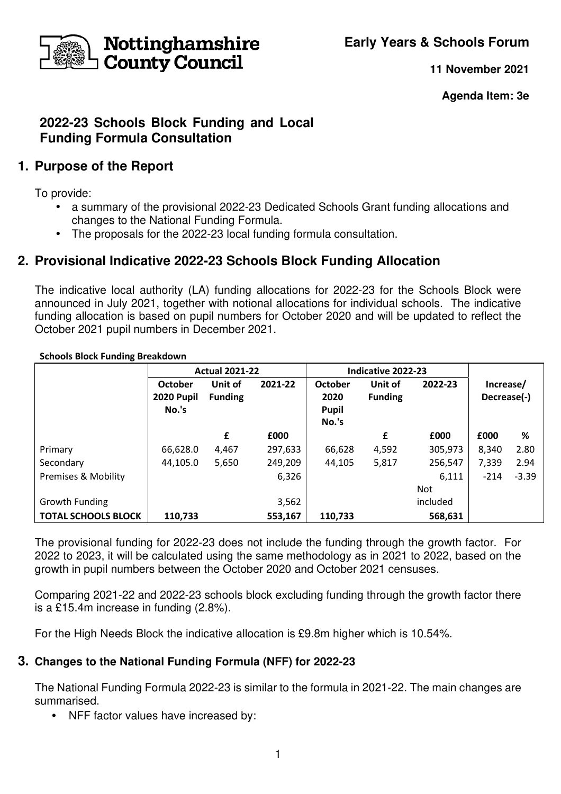**Early Years & Schools Forum**



**11 November 2021**

**Agenda Item: 3e** 

## **2022-23 Schools Block Funding and Local Funding Formula Consultation**

# **1. Purpose of the Report**

To provide:

- a summary of the provisional 2022-23 Dedicated Schools Grant funding allocations and changes to the National Funding Formula.
- The proposals for the 2022-23 local funding formula consultation.

# **2. Provisional Indicative 2022-23 Schools Block Funding Allocation**

The indicative local authority (LA) funding allocations for 2022-23 for the Schools Block were announced in July 2021, together with notional allocations for individual schools. The indicative funding allocation is based on pupil numbers for October 2020 and will be updated to reflect the October 2021 pupil numbers in December 2021.

|                                | <b>Actual 2021-22</b>                 |                           |         | Indicative 2022-23                       |                           |            |                          |         |
|--------------------------------|---------------------------------------|---------------------------|---------|------------------------------------------|---------------------------|------------|--------------------------|---------|
|                                | <b>October</b><br>2020 Pupil<br>No.'s | Unit of<br><b>Funding</b> | 2021-22 | October<br>2020<br><b>Pupil</b><br>No.'s | Unit of<br><b>Funding</b> | 2022-23    | Increase/<br>Decrease(-) |         |
|                                |                                       | £                         | £000    |                                          | £                         | £000       | £000                     | %       |
| Primary                        | 66,628.0                              | 4,467                     | 297,633 | 66,628                                   | 4,592                     | 305,973    | 8,340                    | 2.80    |
| Secondary                      | 44,105.0                              | 5,650                     | 249,209 | 44,105                                   | 5,817                     | 256,547    | 7,339                    | 2.94    |
| <b>Premises &amp; Mobility</b> |                                       |                           | 6,326   |                                          |                           | 6,111      | $-214$                   | $-3.39$ |
|                                |                                       |                           |         |                                          |                           | <b>Not</b> |                          |         |
| Growth Funding                 |                                       |                           | 3,562   |                                          |                           | included   |                          |         |
| <b>TOTAL SCHOOLS BLOCK</b>     | 110,733                               |                           | 553,167 | 110,733                                  |                           | 568,631    |                          |         |

**Schools Block Funding Breakdown** 

The provisional funding for 2022-23 does not include the funding through the growth factor. For 2022 to 2023, it will be calculated using the same methodology as in 2021 to 2022, based on the growth in pupil numbers between the October 2020 and October 2021 censuses.

Comparing 2021-22 and 2022-23 schools block excluding funding through the growth factor there is a £15.4m increase in funding (2.8%).

For the High Needs Block the indicative allocation is £9.8m higher which is 10.54%.

## **3. Changes to the National Funding Formula (NFF) for 2022-23**

The National Funding Formula 2022-23 is similar to the formula in 2021-22. The main changes are summarised.

**•** NFF factor values have increased by: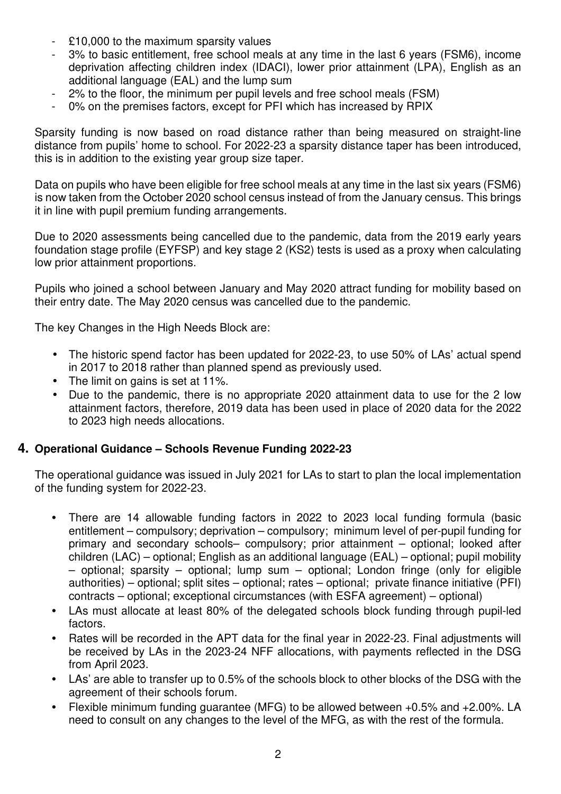- £10,000 to the maximum sparsity values
- 3% to basic entitlement, free school meals at any time in the last 6 years (FSM6), income deprivation affecting children index (IDACI), lower prior attainment (LPA), English as an additional language (EAL) and the lump sum
- 2% to the floor, the minimum per pupil levels and free school meals (FSM)
- 0% on the premises factors, except for PFI which has increased by RPIX

Sparsity funding is now based on road distance rather than being measured on straight-line distance from pupils' home to school. For 2022-23 a sparsity distance taper has been introduced, this is in addition to the existing year group size taper.

Data on pupils who have been eligible for free school meals at any time in the last six years (FSM6) is now taken from the October 2020 school census instead of from the January census. This brings it in line with pupil premium funding arrangements.

Due to 2020 assessments being cancelled due to the pandemic, data from the 2019 early years foundation stage profile (EYFSP) and key stage 2 (KS2) tests is used as a proxy when calculating low prior attainment proportions.

Pupils who joined a school between January and May 2020 attract funding for mobility based on their entry date. The May 2020 census was cancelled due to the pandemic.

The key Changes in the High Needs Block are:

- The historic spend factor has been updated for 2022-23, to use 50% of LAs' actual spend in 2017 to 2018 rather than planned spend as previously used.
- The limit on gains is set at 11%.
- Due to the pandemic, there is no appropriate 2020 attainment data to use for the 2 low attainment factors, therefore, 2019 data has been used in place of 2020 data for the 2022 to 2023 high needs allocations.

#### **4. Operational Guidance – Schools Revenue Funding 2022-23**

The operational guidance was issued in July 2021 for LAs to start to plan the local implementation of the funding system for 2022-23.

- There are 14 allowable funding factors in 2022 to 2023 local funding formula (basic entitlement – compulsory; deprivation – compulsory; minimum level of per-pupil funding for primary and secondary schools– compulsory; prior attainment – optional; looked after children (LAC) – optional; English as an additional language (EAL) – optional; pupil mobility – optional; sparsity – optional; lump sum – optional; London fringe (only for eligible authorities) – optional; split sites – optional; rates – optional; private finance initiative (PFI) contracts – optional; exceptional circumstances (with ESFA agreement) – optional)
- LAs must allocate at least 80% of the delegated schools block funding through pupil-led factors.
- Rates will be recorded in the APT data for the final year in 2022-23. Final adjustments will be received by LAs in the 2023-24 NFF allocations, with payments reflected in the DSG from April 2023.
- LAs' are able to transfer up to 0.5% of the schools block to other blocks of the DSG with the agreement of their schools forum.
- Flexible minimum funding guarantee (MFG) to be allowed between +0.5% and +2.00%. LA need to consult on any changes to the level of the MFG, as with the rest of the formula.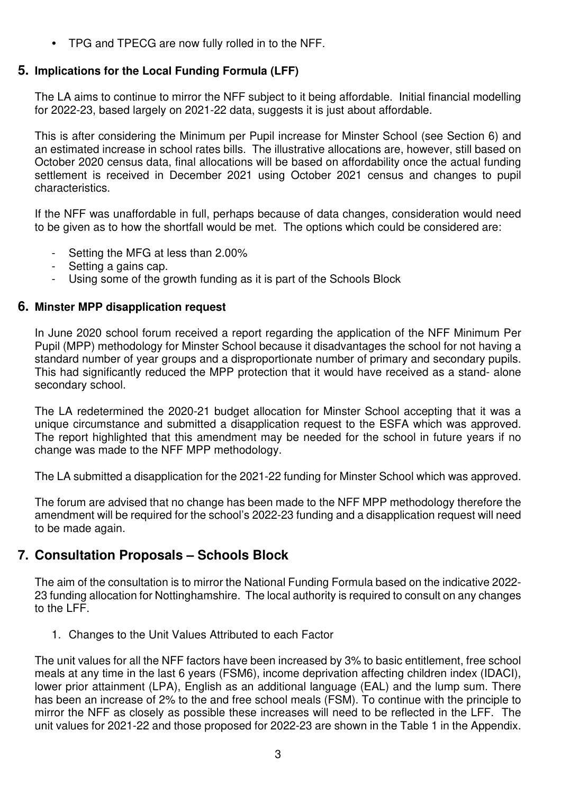**•** TPG and TPECG are now fully rolled in to the NFF.

### **5. Implications for the Local Funding Formula (LFF)**

The LA aims to continue to mirror the NFF subject to it being affordable. Initial financial modelling for 2022-23, based largely on 2021-22 data, suggests it is just about affordable.

This is after considering the Minimum per Pupil increase for Minster School (see Section 6) and an estimated increase in school rates bills. The illustrative allocations are, however, still based on October 2020 census data, final allocations will be based on affordability once the actual funding settlement is received in December 2021 using October 2021 census and changes to pupil characteristics.

If the NFF was unaffordable in full, perhaps because of data changes, consideration would need to be given as to how the shortfall would be met. The options which could be considered are:

- Setting the MFG at less than 2.00%
- Setting a gains cap.
- Using some of the growth funding as it is part of the Schools Block

#### **6. Minster MPP disapplication request**

In June 2020 school forum received a report regarding the application of the NFF Minimum Per Pupil (MPP) methodology for Minster School because it disadvantages the school for not having a standard number of year groups and a disproportionate number of primary and secondary pupils. This had significantly reduced the MPP protection that it would have received as a stand- alone secondary school.

The LA redetermined the 2020-21 budget allocation for Minster School accepting that it was a unique circumstance and submitted a disapplication request to the ESFA which was approved. The report highlighted that this amendment may be needed for the school in future years if no change was made to the NFF MPP methodology.

The LA submitted a disapplication for the 2021-22 funding for Minster School which was approved.

The forum are advised that no change has been made to the NFF MPP methodology therefore the amendment will be required for the school's 2022-23 funding and a disapplication request will need to be made again.

## **7. Consultation Proposals – Schools Block**

The aim of the consultation is to mirror the National Funding Formula based on the indicative 2022- 23 funding allocation for Nottinghamshire. The local authority is required to consult on any changes to the LFF.

1. Changes to the Unit Values Attributed to each Factor

The unit values for all the NFF factors have been increased by 3% to basic entitlement, free school meals at any time in the last 6 years (FSM6), income deprivation affecting children index (IDACI), lower prior attainment (LPA), English as an additional language (EAL) and the lump sum. There has been an increase of 2% to the and free school meals (FSM). To continue with the principle to mirror the NFF as closely as possible these increases will need to be reflected in the LFF. The unit values for 2021-22 and those proposed for 2022-23 are shown in the Table 1 in the Appendix.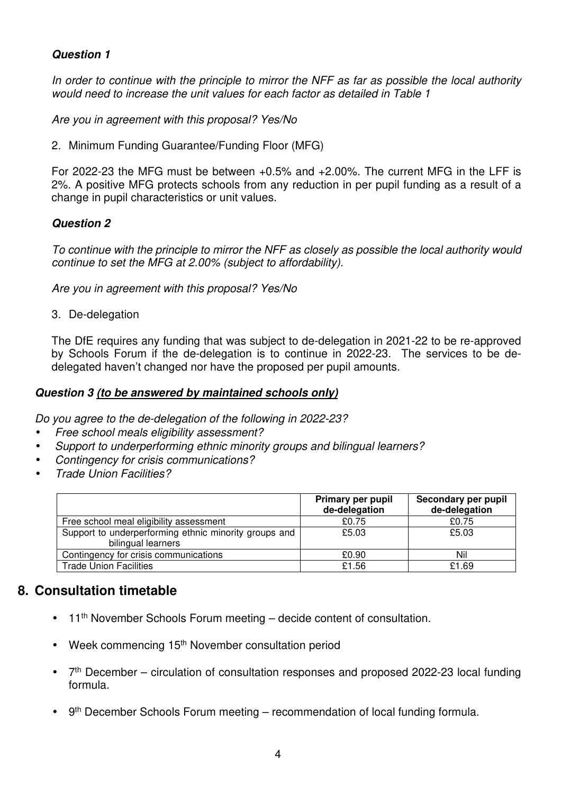#### **Question 1**

In order to continue with the principle to mirror the NFF as far as possible the local authority would need to increase the unit values for each factor as detailed in Table 1

Are you in agreement with this proposal? Yes/No

2. Minimum Funding Guarantee/Funding Floor (MFG)

For 2022-23 the MFG must be between +0.5% and +2.00%. The current MFG in the LFF is 2%. A positive MFG protects schools from any reduction in per pupil funding as a result of a change in pupil characteristics or unit values.

#### **Question 2**

To continue with the principle to mirror the NFF as closely as possible the local authority would continue to set the MFG at 2.00% (subject to affordability).

Are you in agreement with this proposal? Yes/No

3. De-delegation

The DfE requires any funding that was subject to de-delegation in 2021-22 to be re-approved by Schools Forum if the de-delegation is to continue in 2022-23. The services to be dedelegated haven't changed nor have the proposed per pupil amounts.

#### **Question 3 (to be answered by maintained schools only)**

Do you agree to the de-delegation of the following in 2022-23?

- Free school meals eligibility assessment?
- Support to underperforming ethnic minority groups and bilingual learners?
- Contingency for crisis communications?
- Trade Union Facilities?

|                                                                             | Primary per pupil<br>de-delegation | Secondary per pupil<br>de-delegation |
|-----------------------------------------------------------------------------|------------------------------------|--------------------------------------|
| Free school meal eligibility assessment                                     | £0.75                              | £0.75                                |
| Support to underperforming ethnic minority groups and<br>bilingual learners | £5.03                              | £5.03                                |
| Contingency for crisis communications                                       | £0.90                              | Nil                                  |
| <b>Trade Union Facilities</b>                                               | £1.56                              | £1.69                                |

## **8. Consultation timetable**

- $\bullet$  11<sup>th</sup> November Schools Forum meeting decide content of consultation.
- Week commencing 15<sup>th</sup> November consultation period
- 7<sup>th</sup> December circulation of consultation responses and proposed 2022-23 local funding formula.
- $9<sup>th</sup>$  December Schools Forum meeting recommendation of local funding formula.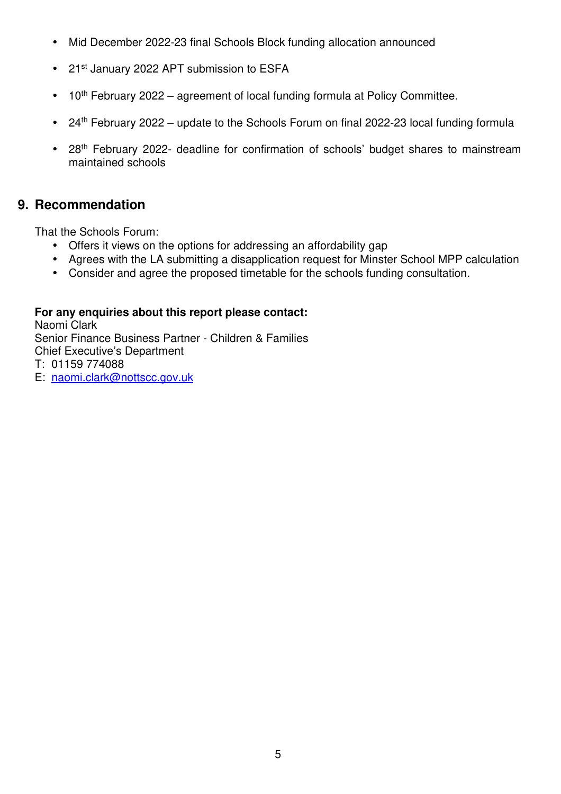- Mid December 2022-23 final Schools Block funding allocation announced
- 21<sup>st</sup> January 2022 APT submission to ESFA
- $\bullet$  10<sup>th</sup> February 2022 agreement of local funding formula at Policy Committee.
- 24<sup>th</sup> February 2022 update to the Schools Forum on final 2022-23 local funding formula
- 28<sup>th</sup> February 2022- deadline for confirmation of schools' budget shares to mainstream maintained schools

## **9. Recommendation**

That the Schools Forum:

- Offers it views on the options for addressing an affordability gap
- Agrees with the LA submitting a disapplication request for Minster School MPP calculation
- Consider and agree the proposed timetable for the schools funding consultation.

### **For any enquiries about this report please contact:**

Naomi Clark

Senior Finance Business Partner - Children & Families Chief Executive's Department

- T: 01159 774088
- E: naomi.clark@nottscc.gov.uk